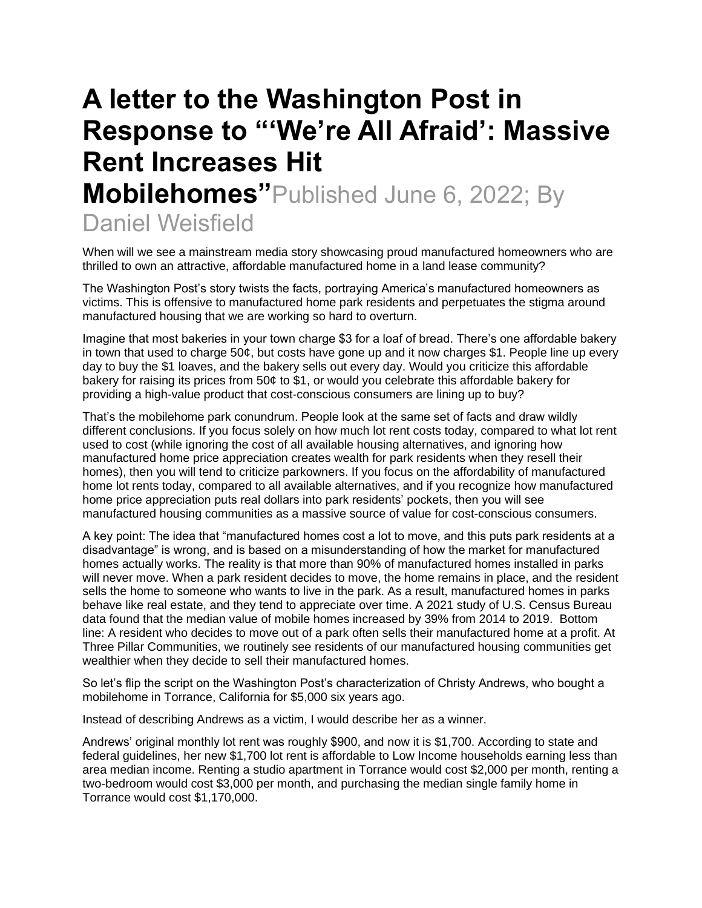## **A letter to the Washington Post in Response to "'We're All Afraid': Massive Rent Increases Hit Mobilehomes"**Published June 6, 2022; By Daniel Weisfield

When will we see a mainstream media story showcasing proud manufactured homeowners who are thrilled to own an attractive, affordable manufactured home in a land lease community?

The Washington Post's story twists the facts, portraying America's manufactured homeowners as victims. This is offensive to manufactured home park residents and perpetuates the stigma around manufactured housing that we are working so hard to overturn.

Imagine that most bakeries in your town charge \$3 for a loaf of bread. There's one affordable bakery in town that used to charge 50¢, but costs have gone up and it now charges \$1. People line up every day to buy the \$1 loaves, and the bakery sells out every day. Would you criticize this affordable bakery for raising its prices from 50¢ to \$1, or would you celebrate this affordable bakery for providing a high-value product that cost-conscious consumers are lining up to buy?

That's the mobilehome park conundrum. People look at the same set of facts and draw wildly different conclusions. If you focus solely on how much lot rent costs today, compared to what lot rent used to cost (while ignoring the cost of all available housing alternatives, and ignoring how manufactured home price appreciation creates wealth for park residents when they resell their homes), then you will tend to criticize parkowners. If you focus on the affordability of manufactured home lot rents today, compared to all available alternatives, and if you recognize how manufactured home price appreciation puts real dollars into park residents' pockets, then you will see manufactured housing communities as a massive source of value for cost-conscious consumers.

A key point: The idea that "manufactured homes cost a lot to move, and this puts park residents at a disadvantage" is wrong, and is based on a misunderstanding of how the market for manufactured homes actually works. The reality is that more than 90% of manufactured homes installed in parks will never move. When a park resident decides to move, the home remains in place, and the resident sells the home to someone who wants to live in the park. As a result, manufactured homes in parks behave like real estate, and they tend to appreciate over time. A 2021 study of U.S. Census Bureau data found that the median value of mobile homes increased by 39% from 2014 to 2019. Bottom line: A resident who decides to move out of a park often sells their manufactured home at a profit. At Three Pillar Communities, we routinely see residents of our manufactured housing communities get wealthier when they decide to sell their manufactured homes.

So let's flip the script on the Washington Post's characterization of Christy Andrews, who bought a mobilehome in Torrance, California for \$5,000 six years ago.

Instead of describing Andrews as a victim, I would describe her as a winner.

Andrews' original monthly lot rent was roughly \$900, and now it is \$1,700. According to state and federal guidelines, her new \$1,700 lot rent is affordable to Low Income households earning less than area median income. Renting a studio apartment in Torrance would cost \$2,000 per month, renting a two-bedroom would cost \$3,000 per month, and purchasing the median single family home in Torrance would cost \$1,170,000.